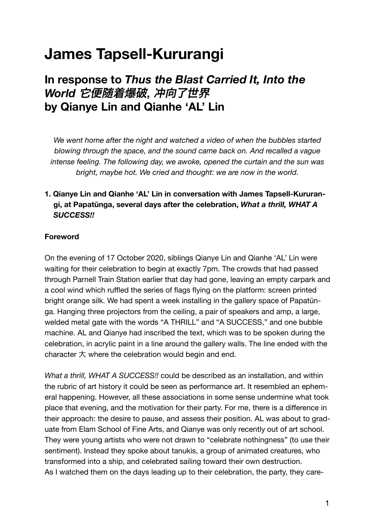## **James Tapsell-Kururangi**

### **In response to** *Thus the Blast Carried It, Into the World* 它便随着爆破, 冲向了世界 **by Qianye Lin and Qianhe 'AL' Lin**

*We went home after the night and watched a video of when the bubbles started blowing through the space, and the sound came back on. And recalled a vague intense feeling. The following day, we awoke, opened the curtain and the sun was bright, maybe hot. We cried and thought: we are now in the world.*

#### **1. Qianye Lin and Qianhe 'AL' Lin in conversation with James Tapsell-Kururangi, at Papatūnga, several days after the celebration,** *What a thrill, WHAT A SUCCESS!!*

#### **Foreword**

On the evening of 17 October 2020, siblings Qianye Lin and Qianhe 'AL' Lin were waiting for their celebration to begin at exactly 7pm. The crowds that had passed through Parnell Train Station earlier that day had gone, leaving an empty carpark and a cool wind which ruffled the series of flags flying on the platform: screen printed bright orange silk. We had spent a week installing in the gallery space of Papatūnga. Hanging three projectors from the ceiling, a pair of speakers and amp, a large, welded metal gate with the words "A THRILL" and "A SUCCESS," and one bubble machine. AL and Qianye had inscribed the text, which was to be spoken during the celebration, in acrylic paint in a line around the gallery walls. The line ended with the character 大 where the celebration would begin and end.

*What a thrill, WHAT A SUCCESS!!* could be described as an installation, and within the rubric of art history it could be seen as performance art. It resembled an ephemeral happening. However, all these associations in some sense undermine what took place that evening, and the motivation for their party. For me, there is a difference in their approach: the desire to pause, and assess their position. AL was about to graduate from Elam School of Fine Arts, and Qianye was only recently out of art school. They were young artists who were not drawn to "celebrate nothingness" (to use their sentiment). Instead they spoke about tanukis, a group of animated creatures, who transformed into a ship, and celebrated sailing toward their own destruction. As I watched them on the days leading up to their celebration, the party, they care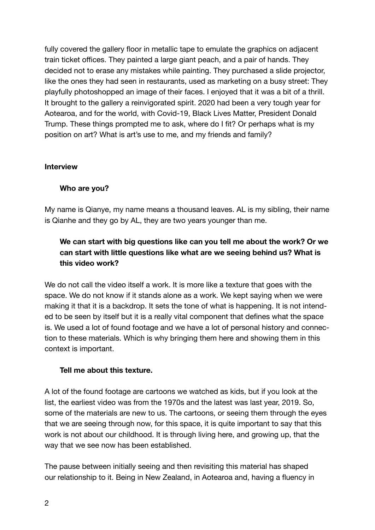fully covered the gallery floor in metallic tape to emulate the graphics on adjacent train ticket offices. They painted a large giant peach, and a pair of hands. They decided not to erase any mistakes while painting. They purchased a slide projector, like the ones they had seen in restaurants, used as marketing on a busy street: They playfully photoshopped an image of their faces. I enjoyed that it was a bit of a thrill. It brought to the gallery a reinvigorated spirit. 2020 had been a very tough year for Aotearoa, and for the world, with Covid-19, Black Lives Matter, President Donald Trump. These things prompted me to ask, where do I fit? Or perhaps what is my position on art? What is art's use to me, and my friends and family?

#### **Interview**

#### **Who are you?**

My name is Qianye, my name means a thousand leaves. AL is my sibling, their name is Qianhe and they go by AL, they are two years younger than me.

#### **We can start with big questions like can you tell me about the work? Or we can start with little questions like what are we seeing behind us? What is this video work?**

We do not call the video itself a work. It is more like a texture that goes with the space. We do not know if it stands alone as a work. We kept saying when we were making it that it is a backdrop. It sets the tone of what is happening. It is not intended to be seen by itself but it is a really vital component that defines what the space is. We used a lot of found footage and we have a lot of personal history and connection to these materials. Which is why bringing them here and showing them in this context is important.

#### **Tell me about this texture.**

A lot of the found footage are cartoons we watched as kids, but if you look at the list, the earliest video was from the 1970s and the latest was last year, 2019. So, some of the materials are new to us. The cartoons, or seeing them through the eyes that we are seeing through now, for this space, it is quite important to say that this work is not about our childhood. It is through living here, and growing up, that the way that we see now has been established.

The pause between initially seeing and then revisiting this material has shaped our relationship to it. Being in New Zealand, in Aotearoa and, having a fluency in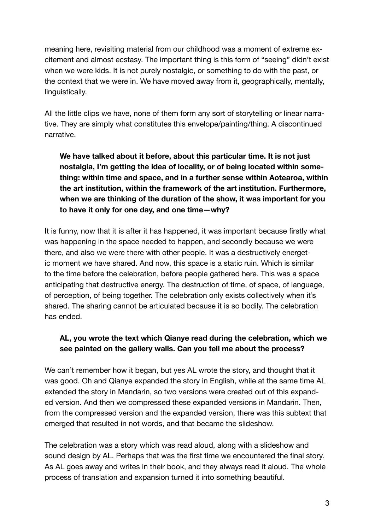meaning here, revisiting material from our childhood was a moment of extreme excitement and almost ecstasy. The important thing is this form of "seeing" didn't exist when we were kids. It is not purely nostalgic, or something to do with the past, or the context that we were in. We have moved away from it, geographically, mentally, linguistically.

All the little clips we have, none of them form any sort of storytelling or linear narrative. They are simply what constitutes this envelope/painting/thing. A discontinued narrative.

**We have talked about it before, about this particular time. It is not just nostalgia, I'm getting the idea of locality, or of being located within something: within time and space, and in a further sense within Aotearoa, within the art institution, within the framework of the art institution. Furthermore, when we are thinking of the duration of the show, it was important for you to have it only for one day, and one time—why?**

It is funny, now that it is after it has happened, it was important because firstly what was happening in the space needed to happen, and secondly because we were there, and also we were there with other people. It was a destructively energetic moment we have shared. And now, this space is a static ruin. Which is similar to the time before the celebration, before people gathered here. This was a space anticipating that destructive energy. The destruction of time, of space, of language, of perception, of being together. The celebration only exists collectively when it's shared. The sharing cannot be articulated because it is so bodily. The celebration has ended.

#### **AL, you wrote the text which Qianye read during the celebration, which we see painted on the gallery walls. Can you tell me about the process?**

We can't remember how it began, but yes AL wrote the story, and thought that it was good. Oh and Qianye expanded the story in English, while at the same time AL extended the story in Mandarin, so two versions were created out of this expanded version. And then we compressed these expanded versions in Mandarin. Then, from the compressed version and the expanded version, there was this subtext that emerged that resulted in not words, and that became the slideshow.

The celebration was a story which was read aloud, along with a slideshow and sound design by AL. Perhaps that was the first time we encountered the final story. As AL goes away and writes in their book, and they always read it aloud. The whole process of translation and expansion turned it into something beautiful.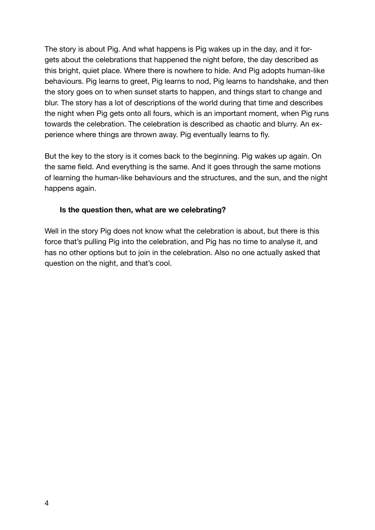The story is about Pig. And what happens is Pig wakes up in the day, and it forgets about the celebrations that happened the night before, the day described as this bright, quiet place. Where there is nowhere to hide. And Pig adopts human-like behaviours. Pig learns to greet, Pig learns to nod, Pig learns to handshake, and then the story goes on to when sunset starts to happen, and things start to change and blur. The story has a lot of descriptions of the world during that time and describes the night when Pig gets onto all fours, which is an important moment, when Pig runs towards the celebration. The celebration is described as chaotic and blurry. An experience where things are thrown away. Pig eventually learns to fly.

But the key to the story is it comes back to the beginning. Pig wakes up again. On the same field. And everything is the same. And it goes through the same motions of learning the human-like behaviours and the structures, and the sun, and the night happens again.

#### **Is the question then, what are we celebrating?**

Well in the story Pig does not know what the celebration is about, but there is this force that's pulling Pig into the celebration, and Pig has no time to analyse it, and has no other options but to join in the celebration. Also no one actually asked that question on the night, and that's cool.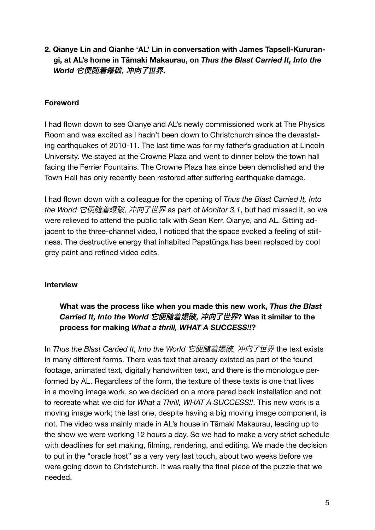**2. Qianye Lin and Qianhe 'AL' Lin in conversation with James Tapsell-Kururangi, at AL's home in Tāmaki Makaurau, on** *Thus the Blast Carried It, Into the World* 它便随着爆破, 冲向了世界.

#### **Foreword**

I had flown down to see Qianye and AL's newly commissioned work at The Physics Room and was excited as I hadn't been down to Christchurch since the devastating earthquakes of 2010-11. The last time was for my father's graduation at Lincoln University. We stayed at the Crowne Plaza and went to dinner below the town hall facing the Ferrier Fountains. The Crowne Plaza has since been demolished and the Town Hall has only recently been restored after suffering earthquake damage.

I had flown down with a colleague for the opening of *Thus the Blast Carried It, Into the World* 它便随着爆破, 冲向了世界 as part of *Monitor 3.1*, but had missed it, so we were relieved to attend the public talk with Sean Kerr, Qianye, and AL. Sitting adjacent to the three-channel video, I noticed that the space evoked a feeling of stillness. The destructive energy that inhabited Papatūnga has been replaced by cool grey paint and refined video edits.

#### **Interview**

#### **What was the process like when you made this new work,** *Thus the Blast Carried It, Into the World* 它便随着爆破, 冲向了世界**? Was it similar to the process for making** *What a thrill, WHAT A SUCCESS!!***?**

In *Thus the Blast Carried It, Into the World* 它便随着爆破, 冲向了世界 the text exists in many different forms. There was text that already existed as part of the found footage, animated text, digitally handwritten text, and there is the monologue performed by AL. Regardless of the form, the texture of these texts is one that lives in a moving image work, so we decided on a more pared back installation and not to recreate what we did for *What a Thrill, WHAT A SUCCESS!!*. This new work is a moving image work; the last one, despite having a big moving image component, is not. The video was mainly made in AL's house in Tāmaki Makaurau, leading up to the show we were working 12 hours a day. So we had to make a very strict schedule with deadlines for set making, filming, rendering, and editing. We made the decision to put in the "oracle host" as a very very last touch, about two weeks before we were going down to Christchurch. It was really the final piece of the puzzle that we needed.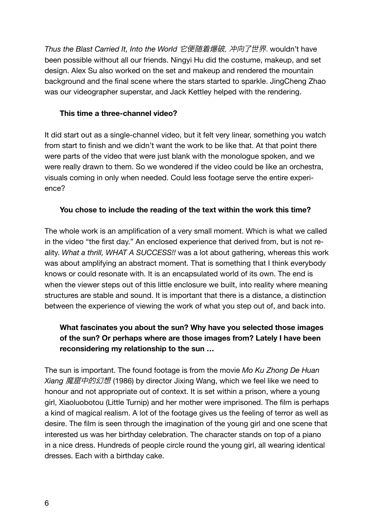*Thus the Blast Carried It, Into the World* 它便随着爆破, 冲向了世界. wouldn't have been possible without all our friends. Ningyi Hu did the costume, makeup, and set design. Alex Su also worked on the set and makeup and rendered the mountain background and the final scene where the stars started to sparkle. JingCheng Zhao was our videographer superstar, and Jack Kettley helped with the rendering.

#### **This time a three-channel video?**

It did start out as a single-channel video, but it felt very linear, something you watch from start to finish and we didn't want the work to be like that. At that point there were parts of the video that were just blank with the monologue spoken, and we were really drawn to them. So we wondered if the video could be like an orchestra, visuals coming in only when needed. Could less footage serve the entire experience?

#### **You chose to include the reading of the text within the work this time?**

The whole work is an amplification of a very small moment. Which is what we called in the video "the first day." An enclosed experience that derived from, but is not reality. *What a thrill, WHAT A SUCCESS!!* was a lot about gathering, whereas this work was about amplifying an abstract moment. That is something that I think everybody knows or could resonate with. It is an encapsulated world of its own. The end is when the viewer steps out of this little enclosure we built, into reality where meaning structures are stable and sound. It is important that there is a distance, a distinction between the experience of viewing the work of what you step out of, and back into.

#### **What fascinates you about the sun? Why have you selected those images of the sun? Or perhaps where are those images from? Lately I have been reconsidering my relationship to the sun …**

The sun is important. The found footage is from the movie *Mo Ku Zhong De Huan Xiang* 魔窟中的幻想 (1986) by director Jixing Wang, which we feel like we need to honour and not appropriate out of context. It is set within a prison, where a young girl, Xiaoluobotou (Little Turnip) and her mother were imprisoned. The film is perhaps a kind of magical realism. A lot of the footage gives us the feeling of terror as well as desire. The film is seen through the imagination of the young girl and one scene that interested us was her birthday celebration. The character stands on top of a piano in a nice dress. Hundreds of people circle round the young girl, all wearing identical dresses. Each with a birthday cake.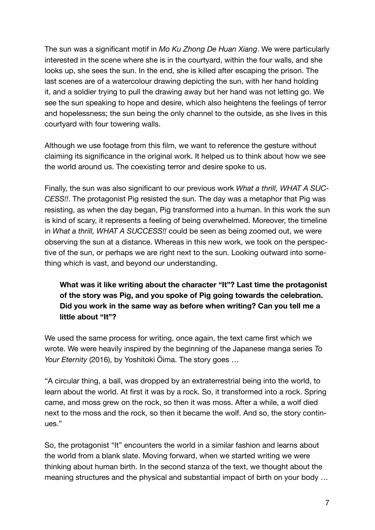The sun was a significant motif in *Mo Ku Zhong De Huan Xiang*. We were particularly interested in the scene where she is in the courtyard, within the four walls, and she looks up, she sees the sun. In the end, she is killed after escaping the prison. The last scenes are of a watercolour drawing depicting the sun, with her hand holding it, and a soldier trying to pull the drawing away but her hand was not letting go. We see the sun speaking to hope and desire, which also heightens the feelings of terror and hopelessness; the sun being the only channel to the outside, as she lives in this courtyard with four towering walls.

Although we use footage from this film, we want to reference the gesture without claiming its significance in the original work. It helped us to think about how we see the world around us. The coexisting terror and desire spoke to us.

Finally, the sun was also significant to our previous work *What a thrill, WHAT A SUC-CESS!!*. The protagonist Pig resisted the sun. The day was a metaphor that Pig was resisting, as when the day began, Pig transformed into a human. In this work the sun is kind of scary, it represents a feeling of being overwhelmed. Moreover, the timeline in *What a thrill, WHAT A SUCCESS!!* could be seen as being zoomed out, we were observing the sun at a distance. Whereas in this new work, we took on the perspective of the sun, or perhaps we are right next to the sun. Looking outward into something which is vast, and beyond our understanding.

#### **What was it like writing about the character "It"? Last time the protagonist of the story was Pig, and you spoke of Pig going towards the celebration. Did you work in the same way as before when writing? Can you tell me a little about "It"?**

We used the same process for writing, once again, the text came first which we wrote. We were heavily inspired by the beginning of the Japanese manga series *To Your Eternity* (2016), by Yoshitoki Ōima. The story goes …

"A circular thing, a ball, was dropped by an extraterrestrial being into the world, to learn about the world. At first it was by a rock. So, it transformed into a rock. Spring came, and moss grew on the rock, so then it was moss. After a while, a wolf died next to the moss and the rock, so then it became the wolf. And so, the story continues."

So, the protagonist "It" encounters the world in a similar fashion and learns about the world from a blank slate. Moving forward, when we started writing we were thinking about human birth. In the second stanza of the text, we thought about the meaning structures and the physical and substantial impact of birth on your body …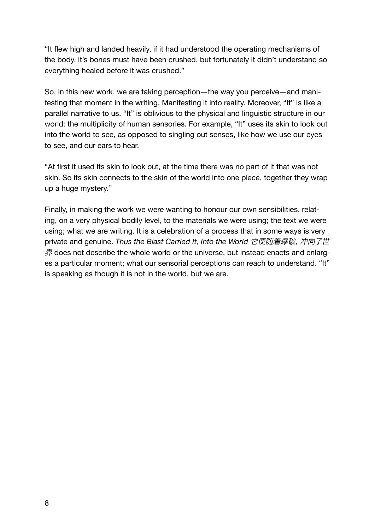"It flew high and landed heavily, if it had understood the operating mechanisms of the body, it's bones must have been crushed, but fortunately it didn't understand so everything healed before it was crushed."

So, in this new work, we are taking perception—the way you perceive—and manifesting that moment in the writing. Manifesting it into reality. Moreover, "It" is like a parallel narrative to us. "It" is oblivious to the physical and linguistic structure in our world: the multiplicity of human sensories. For example, "It" uses its skin to look out into the world to see, as opposed to singling out senses, like how we use our eyes to see, and our ears to hear.

"At first it used its skin to look out, at the time there was no part of it that was not skin. So its skin connects to the skin of the world into one piece, together they wrap up a huge mystery."

Finally, in making the work we were wanting to honour our own sensibilities, relating, on a very physical bodily level, to the materials we were using; the text we were using; what we are writing. It is a celebration of a process that in some ways is very private and genuine. *Thus the Blast Carried It, Into the World* 它便随着爆破, 冲向了世  $R$  does not describe the whole world or the universe, but instead enacts and enlarges a particular moment; what our sensorial perceptions can reach to understand. "It" is speaking as though it is not in the world, but we are.